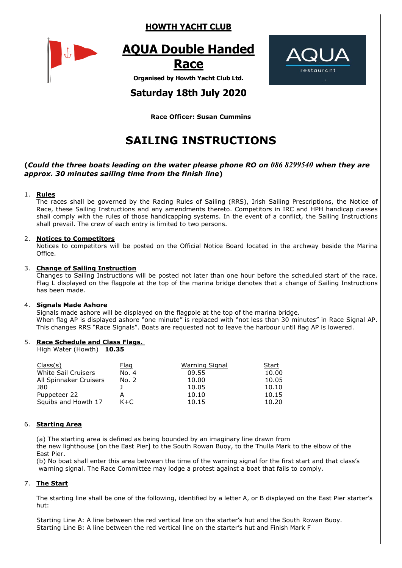### **HOWTH YACHT CLUB**



# **AQUA Double Handed**





**Organised by Howth Yacht Club Ltd.**

## **Saturday 18th July 2020**

**Race Officer: Susan Cummins**

# **SAILING INSTRUCTIONS**

#### **(***Could the three boats leading on the water please phone RO on 086 8299540 when they are approx. 30 minutes sailing time from the finish line***)**

#### 1. **Rules**

The races shall be governed by the Racing Rules of Sailing (RRS), Irish Sailing Prescriptions, the Notice of Race, these Sailing Instructions and any amendments thereto. Competitors in IRC and HPH handicap classes shall comply with the rules of those handicapping systems. In the event of a conflict, the Sailing Instructions shall prevail. The crew of each entry is limited to two persons.

#### 2. **Notices to Competitors**

Notices to competitors will be posted on the Official Notice Board located in the archway beside the Marina **Office** 

#### 3. **Change of Sailing Instruction**

Changes to Sailing Instructions will be posted not later than one hour before the scheduled start of the race. Flag L displayed on the flagpole at the top of the marina bridge denotes that a change of Sailing Instructions has been made.

#### 4. **Signals Made Ashore**

Signals made ashore will be displayed on the flagpole at the top of the marina bridge. When flag AP is displayed ashore "one minute" is replaced with "not less than 30 minutes" in Race Signal AP. This changes RRS "Race Signals". Boats are requested not to leave the harbour until flag AP is lowered.

#### 5. **Race Schedule and Class Flags.**

High Water (Howth) **10.35**

| Class(s)                   | <u>Flag</u> | Warning Signal | Start |  |
|----------------------------|-------------|----------------|-------|--|
| <b>White Sail Cruisers</b> | No. 4       | 09.55          | 10.00 |  |
| All Spinnaker Cruisers     | No. 2       | 10.00          | 10.05 |  |
| J80                        |             | 10.05          | 10.10 |  |
| Puppeteer 22               |             | 10.10          | 10.15 |  |
| Squibs and Howth 17        | $K + C$     | 10.15          | 10.20 |  |

#### 6. **Starting Area**

(a) The starting area is defined as being bounded by an imaginary line drawn from the new lighthouse [on the East Pier] to the South Rowan Buoy, to the Thulla Mark to the elbow of the East Pier.

(b) No boat shall enter this area between the time of the warning signal for the first start and that class's warning signal. The Race Committee may lodge a protest against a boat that fails to comply.

#### 7. **The Start**

The starting line shall be one of the following, identified by a letter A, or B displayed on the East Pier starter's hut:

Starting Line A: A line between the red vertical line on the starter's hut and the South Rowan Buoy. Starting Line B: A line between the red vertical line on the starter's hut and Finish Mark F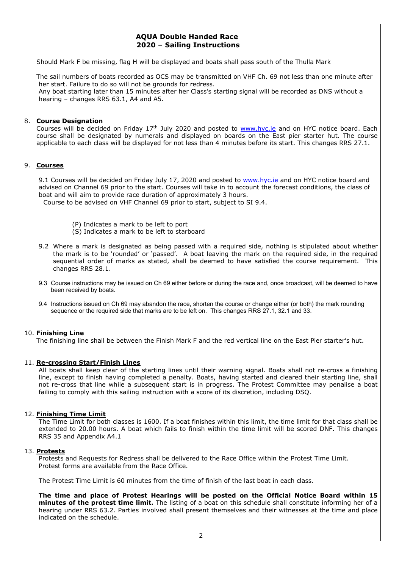#### **AQUA Double Handed Race 2020 – Sailing Instructions**

Should Mark F be missing, flag H will be displayed and boats shall pass south of the Thulla Mark

The sail numbers of boats recorded as OCS may be transmitted on VHF Ch. 69 not less than one minute after her start. Failure to do so will not be grounds for redress. Any boat starting later than 15 minutes after her Class's starting signal will be recorded as DNS without a hearing – changes RRS 63.1, A4 and A5.

#### 8. **Course Designation**

Courses will be decided on Friday 17<sup>th</sup> July 2020 and posted to [www.hyc.ie](http://www.hyc.ie/) and on HYC notice board. Each course shall be designated by numerals and displayed on boards on the East pier starter hut. The course applicable to each class will be displayed for not less than 4 minutes before its start. This changes RRS 27.1.

#### 9. **Courses**

9.1 Courses will be decided on Friday July 17, 2020 and posted to [www.hyc.ie](http://www.hyc.ie/) and on HYC notice board and advised on Channel 69 prior to the start. Courses will take in to account the forecast conditions, the class of boat and will aim to provide race duration of approximately 3 hours.

Course to be advised on VHF Channel 69 prior to start, subject to SI 9.4.

- (P) Indicates a mark to be left to port
- (S) Indicates a mark to be left to starboard
- 9.2 Where a mark is designated as being passed with a required side, nothing is stipulated about whether the mark is to be 'rounded' or 'passed'. A boat leaving the mark on the required side, in the required sequential order of marks as stated, shall be deemed to have satisfied the course requirement. This changes RRS 28.1.
- 9.3 Course instructions may be issued on Ch 69 either before or during the race and, once broadcast, will be deemed to have been received by boats.
- 9.4 Instructions issued on Ch 69 may abandon the race, shorten the course or change either (or both) the mark rounding sequence or the required side that marks are to be left on. This changes RRS 27.1, 32.1 and 33.

#### 10. **Finishing Line**

The finishing line shall be between the Finish Mark F and the red vertical line on the East Pier starter's hut.

#### 11. **Re-crossing Start/Finish Lines**

All boats shall keep clear of the starting lines until their warning signal. Boats shall not re-cross a finishing line, except to finish having completed a penalty. Boats, having started and cleared their starting line, shall not re-cross that line while a subsequent start is in progress. The Protest Committee may penalise a boat failing to comply with this sailing instruction with a score of its discretion, including DSQ.

#### 12. **Finishing Time Limit**

The Time Limit for both classes is 1600. If a boat finishes within this limit, the time limit for that class shall be extended to 20.00 hours. A boat which fails to finish within the time limit will be scored DNF. This changes RRS 35 and Appendix A4.1

#### 13. **Protests**

Protests and Requests for Redress shall be delivered to the Race Office within the Protest Time Limit. Protest forms are available from the Race Office.

The Protest Time Limit is 60 minutes from the time of finish of the last boat in each class.

**The time and place of Protest Hearings will be posted on the Official Notice Board within 15 minutes of the protest time limit.** The listing of a boat on this schedule shall constitute informing her of a hearing under RRS 63.2. Parties involved shall present themselves and their witnesses at the time and place indicated on the schedule.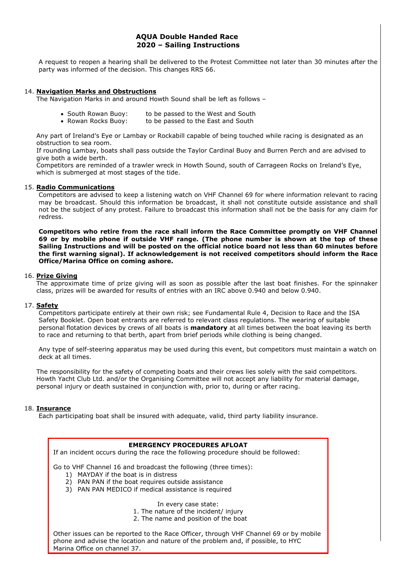#### **AQUA Double Handed Race 2020 – Sailing Instructions**

A request to reopen a hearing shall be delivered to the Protest Committee not later than 30 minutes after the party was informed of the decision. This changes RRS 66.

#### 14. **Navigation Marks and Obstructions**

The Navigation Marks in and around Howth Sound shall be left as follows –

- South Rowan Buoy: to be passed to the West and South
- Rowan Rocks Buoy: to be passed to the East and South

Any part of Ireland's Eye or Lambay or Rockabill capable of being touched while racing is designated as an obstruction to sea room.

If rounding Lambay, boats shall pass outside the Taylor Cardinal Buoy and Burren Perch and are advised to give both a wide berth.

Competitors are reminded of a trawler wreck in Howth Sound, south of Carrageen Rocks on Ireland's Eye, which is submerged at most stages of the tide.

#### 15. **Radio Communications**

Competitors are advised to keep a listening watch on VHF Channel 69 for where information relevant to racing may be broadcast. Should this information be broadcast, it shall not constitute outside assistance and shall not be the subject of any protest. Failure to broadcast this information shall not be the basis for any claim for redress.

**Competitors who retire from the race shall inform the Race Committee promptly on VHF Channel 69 or by mobile phone if outside VHF range. (The phone number is shown at the top of these Sailing Instructions and will be posted on the official notice board not less than 60 minutes before the first warning signal). If acknowledgement is not received competitors should inform the Race Office/Marina Office on coming ashore.**

#### 16. **Prize Giving**

The approximate time of prize giving will as soon as possible after the last boat finishes. For the spinnaker class, prizes will be awarded for results of entries with an IRC above 0.940 and below 0.940.

#### 17. **Safety**

Competitors participate entirely at their own risk; see Fundamental Rule 4, Decision to Race and the ISA Safety Booklet. Open boat entrants are referred to relevant class regulations. The wearing of suitable personal flotation devices by crews of all boats is **mandatory** at all times between the boat leaving its berth to race and returning to that berth, apart from brief periods while clothing is being changed.

Any type of self-steering apparatus may be used during this event, but competitors must maintain a watch on deck at all times.

The responsibility for the safety of competing boats and their crews lies solely with the said competitors. Howth Yacht Club Ltd. and/or the Organising Committee will not accept any liability for material damage, personal injury or death sustained in conjunction with, prior to, during or after racing.

#### 18. **Insurance**

Each participating boat shall be insured with adequate, valid, third party liability insurance.

### **EMERGENCY PROCEDURES AFLOAT**

If an incident occurs during the race the following procedure should be followed:

Go to VHF Channel 16 and broadcast the following (three times):

- 1) MAYDAY if the boat is in distress
- 2) PAN PAN if the boat requires outside assistance
- 3) PAN PAN MEDICO if medical assistance is required

In every case state:

- 1. The nature of the incident/ injury
- 2. The name and position of the boat

Other issues can be reported to the Race Officer, through VHF Channel 69 or by mobile phone and advise the location and nature of the problem and, if possible, to HYC Marina Office on channel 37.